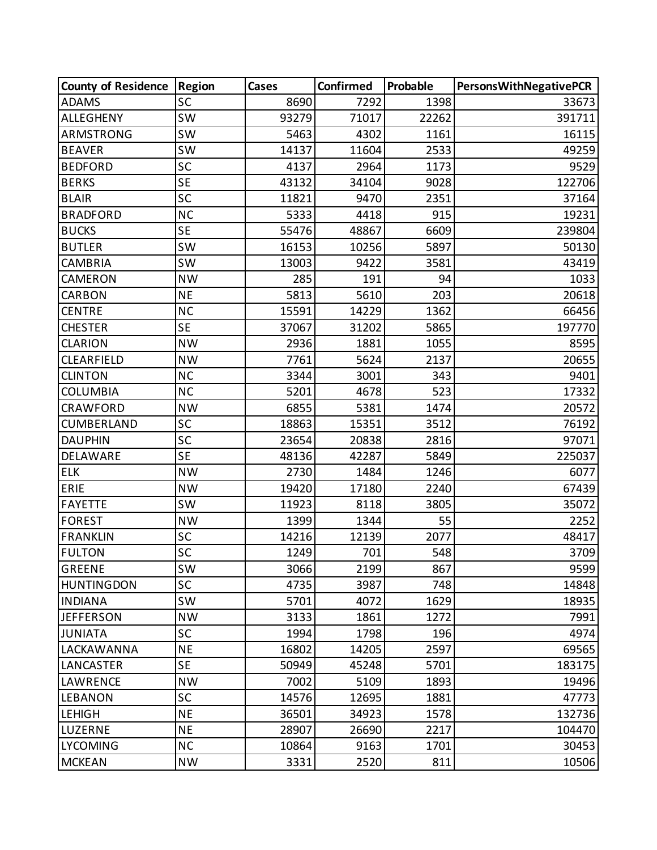| <b>County of Residence</b> | <b>Region</b> | Cases | Confirmed | Probable | <b>PersonsWithNegativePCR</b> |
|----------------------------|---------------|-------|-----------|----------|-------------------------------|
| <b>ADAMS</b>               | <b>SC</b>     | 8690  | 7292      | 1398     | 33673                         |
| <b>ALLEGHENY</b>           | <b>SW</b>     | 93279 | 71017     | 22262    | 391711                        |
| ARMSTRONG                  | <b>SW</b>     | 5463  | 4302      | 1161     | 16115                         |
| <b>BEAVER</b>              | <b>SW</b>     | 14137 | 11604     | 2533     | 49259                         |
| <b>BEDFORD</b>             | SC            | 4137  | 2964      | 1173     | 9529                          |
| <b>BERKS</b>               | <b>SE</b>     | 43132 | 34104     | 9028     | 122706                        |
| <b>BLAIR</b>               | SC            | 11821 | 9470      | 2351     | 37164                         |
| <b>BRADFORD</b>            | <b>NC</b>     | 5333  | 4418      | 915      | 19231                         |
| <b>BUCKS</b>               | <b>SE</b>     | 55476 | 48867     | 6609     | 239804                        |
| <b>BUTLER</b>              | <b>SW</b>     | 16153 | 10256     | 5897     | 50130                         |
| <b>CAMBRIA</b>             | <b>SW</b>     | 13003 | 9422      | 3581     | 43419                         |
| CAMERON                    | <b>NW</b>     | 285   | 191       | 94       | 1033                          |
| CARBON                     | <b>NE</b>     | 5813  | 5610      | 203      | 20618                         |
| <b>CENTRE</b>              | <b>NC</b>     | 15591 | 14229     | 1362     | 66456                         |
| <b>CHESTER</b>             | <b>SE</b>     | 37067 | 31202     | 5865     | 197770                        |
| <b>CLARION</b>             | <b>NW</b>     | 2936  | 1881      | 1055     | 8595                          |
| <b>CLEARFIELD</b>          | <b>NW</b>     | 7761  | 5624      | 2137     | 20655                         |
| <b>CLINTON</b>             | <b>NC</b>     | 3344  | 3001      | 343      | 9401                          |
| <b>COLUMBIA</b>            | <b>NC</b>     | 5201  | 4678      | 523      | 17332                         |
| CRAWFORD                   | <b>NW</b>     | 6855  | 5381      | 1474     | 20572                         |
| CUMBERLAND                 | SC            | 18863 | 15351     | 3512     | 76192                         |
| <b>DAUPHIN</b>             | <b>SC</b>     | 23654 | 20838     | 2816     | 97071                         |
| DELAWARE                   | <b>SE</b>     | 48136 | 42287     | 5849     | 225037                        |
| <b>ELK</b>                 | <b>NW</b>     | 2730  | 1484      | 1246     | 6077                          |
| ERIE                       | <b>NW</b>     | 19420 | 17180     | 2240     | 67439                         |
| <b>FAYETTE</b>             | <b>SW</b>     | 11923 | 8118      | 3805     | 35072                         |
| <b>FOREST</b>              | <b>NW</b>     | 1399  | 1344      | 55       | 2252                          |
| <b>FRANKLIN</b>            | SC            | 14216 | 12139     | 2077     | 48417                         |
| <b>FULTON</b>              | SC            | 1249  | 701       | 548      | 3709                          |
| <b>GREENE</b>              | <b>SW</b>     | 3066  | 2199      | 867      | 9599                          |
| <b>HUNTINGDON</b>          | <b>SC</b>     | 4735  | 3987      | 748      | 14848                         |
| <b>INDIANA</b>             | <b>SW</b>     | 5701  | 4072      | 1629     | 18935                         |
| <b>JEFFERSON</b>           | <b>NW</b>     | 3133  | 1861      | 1272     | 7991                          |
| <b>JUNIATA</b>             | <b>SC</b>     | 1994  | 1798      | 196      | 4974                          |
| <b>LACKAWANNA</b>          | <b>NE</b>     | 16802 | 14205     | 2597     | 69565                         |
| LANCASTER                  | <b>SE</b>     | 50949 | 45248     | 5701     | 183175                        |
| <b>LAWRENCE</b>            | <b>NW</b>     | 7002  | 5109      | 1893     | 19496                         |
| <b>LEBANON</b>             | <b>SC</b>     | 14576 | 12695     | 1881     | 47773                         |
| <b>LEHIGH</b>              | <b>NE</b>     | 36501 | 34923     | 1578     | 132736                        |
| LUZERNE                    | <b>NE</b>     | 28907 | 26690     | 2217     | 104470                        |
| <b>LYCOMING</b>            | <b>NC</b>     | 10864 | 9163      | 1701     | 30453                         |
| <b>MCKEAN</b>              | <b>NW</b>     | 3331  | 2520      | 811      | 10506                         |